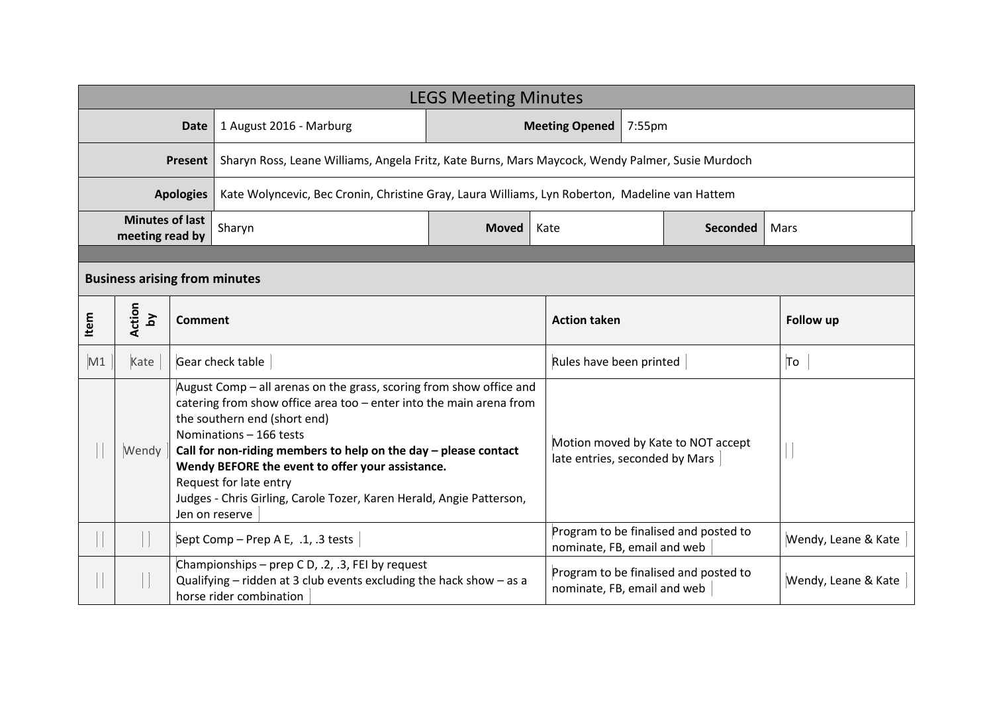| <b>LEGS Meeting Minutes</b>          |                                           |         |                                                                                                                                                                                                                                                                                                                                                                                                                                                    |                                 |                                                                      |                                                                      |                                       |                     |  |
|--------------------------------------|-------------------------------------------|---------|----------------------------------------------------------------------------------------------------------------------------------------------------------------------------------------------------------------------------------------------------------------------------------------------------------------------------------------------------------------------------------------------------------------------------------------------------|---------------------------------|----------------------------------------------------------------------|----------------------------------------------------------------------|---------------------------------------|---------------------|--|
| <b>Date</b>                          |                                           |         | 1 August 2016 - Marburg                                                                                                                                                                                                                                                                                                                                                                                                                            | <b>Meeting Opened</b><br>7:55pm |                                                                      |                                                                      |                                       |                     |  |
| <b>Present</b>                       |                                           |         | Sharyn Ross, Leane Williams, Angela Fritz, Kate Burns, Mars Maycock, Wendy Palmer, Susie Murdoch                                                                                                                                                                                                                                                                                                                                                   |                                 |                                                                      |                                                                      |                                       |                     |  |
| <b>Apologies</b>                     |                                           |         | Kate Wolyncevic, Bec Cronin, Christine Gray, Laura Williams, Lyn Roberton, Madeline van Hattem                                                                                                                                                                                                                                                                                                                                                     |                                 |                                                                      |                                                                      |                                       |                     |  |
|                                      | <b>Minutes of last</b><br>meeting read by |         | Sharyn                                                                                                                                                                                                                                                                                                                                                                                                                                             | <b>Moved</b>                    | Kate<br><b>Seconded</b>                                              |                                                                      | Mars                                  |                     |  |
|                                      |                                           |         |                                                                                                                                                                                                                                                                                                                                                                                                                                                    |                                 |                                                                      |                                                                      |                                       |                     |  |
| <b>Business arising from minutes</b> |                                           |         |                                                                                                                                                                                                                                                                                                                                                                                                                                                    |                                 |                                                                      |                                                                      |                                       |                     |  |
| Item                                 | Action<br>$\mathbf{\Sigma}$               | Comment |                                                                                                                                                                                                                                                                                                                                                                                                                                                    |                                 | <b>Action taken</b>                                                  |                                                                      |                                       | Follow up           |  |
| M1                                   | Kate                                      |         | Gear check table                                                                                                                                                                                                                                                                                                                                                                                                                                   |                                 |                                                                      | Rules have been printed                                              |                                       | To                  |  |
|                                      | Wendy                                     |         | August Comp - all arenas on the grass, scoring from show office and<br>catering from show office area too - enter into the main arena from<br>the southern end (short end)<br>Nominations - 166 tests<br>Call for non-riding members to help on the day $-$ please contact<br>Wendy BEFORE the event to offer your assistance.<br>Request for late entry<br>Judges - Chris Girling, Carole Tozer, Karen Herald, Angie Patterson,<br>Jen on reserve |                                 |                                                                      | Motion moved by Kate to NOT accept<br>late entries, seconded by Mars |                                       |                     |  |
|                                      |                                           |         | Sept Comp - Prep A E, .1, .3 tests                                                                                                                                                                                                                                                                                                                                                                                                                 |                                 | Program to be finalised and posted to<br>nominate, FB, email and web |                                                                      | Wendy, Leane & Kate                   |                     |  |
|                                      |                                           |         | Championships - prep C D, .2, .3, FEI by request<br>Qualifying $-$ ridden at 3 club events excluding the hack show $-$ as a<br>horse rider combination                                                                                                                                                                                                                                                                                             |                                 | nominate, FB, email and web                                          |                                                                      | Program to be finalised and posted to | Wendy, Leane & Kate |  |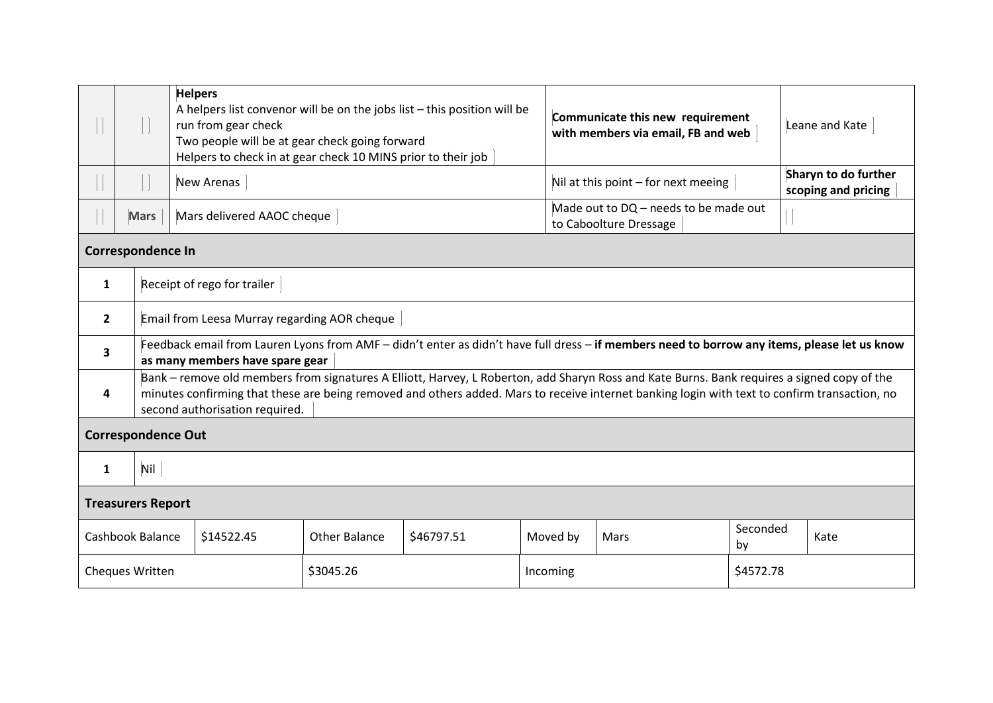|                           |                                              | <b>Helpers</b><br>A helpers list convenor will be on the jobs list - this position will be<br>run from gear check<br>Two people will be at gear check going forward<br>Helpers to check in at gear check 10 MINS prior to their job                                                                                            |                                     |                                                                 |          | Communicate this new requirement<br>with members via email, FB and web |                | Leane and Kate |  |  |
|---------------------------|----------------------------------------------|--------------------------------------------------------------------------------------------------------------------------------------------------------------------------------------------------------------------------------------------------------------------------------------------------------------------------------|-------------------------------------|-----------------------------------------------------------------|----------|------------------------------------------------------------------------|----------------|----------------|--|--|
|                           |                                              | <b>New Arenas</b>                                                                                                                                                                                                                                                                                                              | Nil at this point - for next meeing |                                                                 |          | Sharyn to do further<br>scoping and pricing                            |                |                |  |  |
|                           | <b>Mars</b>                                  | Mars delivered AAOC cheque                                                                                                                                                                                                                                                                                                     |                                     | Made out to DQ - needs to be made out<br>to Caboolture Dressage |          |                                                                        |                |                |  |  |
| <b>Correspondence In</b>  |                                              |                                                                                                                                                                                                                                                                                                                                |                                     |                                                                 |          |                                                                        |                |                |  |  |
| 1                         | Receipt of rego for trailer                  |                                                                                                                                                                                                                                                                                                                                |                                     |                                                                 |          |                                                                        |                |                |  |  |
| $\overline{2}$            | Email from Leesa Murray regarding AOR cheque |                                                                                                                                                                                                                                                                                                                                |                                     |                                                                 |          |                                                                        |                |                |  |  |
| 3                         |                                              | Feedback email from Lauren Lyons from AMF - didn't enter as didn't have full dress - if members need to borrow any items, please let us know<br>as many members have spare gear                                                                                                                                                |                                     |                                                                 |          |                                                                        |                |                |  |  |
| 4                         |                                              | Bank – remove old members from signatures A Elliott, Harvey, L Roberton, add Sharyn Ross and Kate Burns. Bank requires a signed copy of the<br>minutes confirming that these are being removed and others added. Mars to receive internet banking login with text to confirm transaction, no<br>second authorisation required. |                                     |                                                                 |          |                                                                        |                |                |  |  |
| <b>Correspondence Out</b> |                                              |                                                                                                                                                                                                                                                                                                                                |                                     |                                                                 |          |                                                                        |                |                |  |  |
| 1                         | Nil                                          |                                                                                                                                                                                                                                                                                                                                |                                     |                                                                 |          |                                                                        |                |                |  |  |
| <b>Treasurers Report</b>  |                                              |                                                                                                                                                                                                                                                                                                                                |                                     |                                                                 |          |                                                                        |                |                |  |  |
| Cashbook Balance          |                                              | \$14522.45                                                                                                                                                                                                                                                                                                                     | <b>Other Balance</b>                | \$46797.51                                                      | Moved by | Mars                                                                   | Seconded<br>by | Kate           |  |  |
|                           | Cheques Written                              |                                                                                                                                                                                                                                                                                                                                | \$3045.26                           |                                                                 | Incoming |                                                                        |                | \$4572.78      |  |  |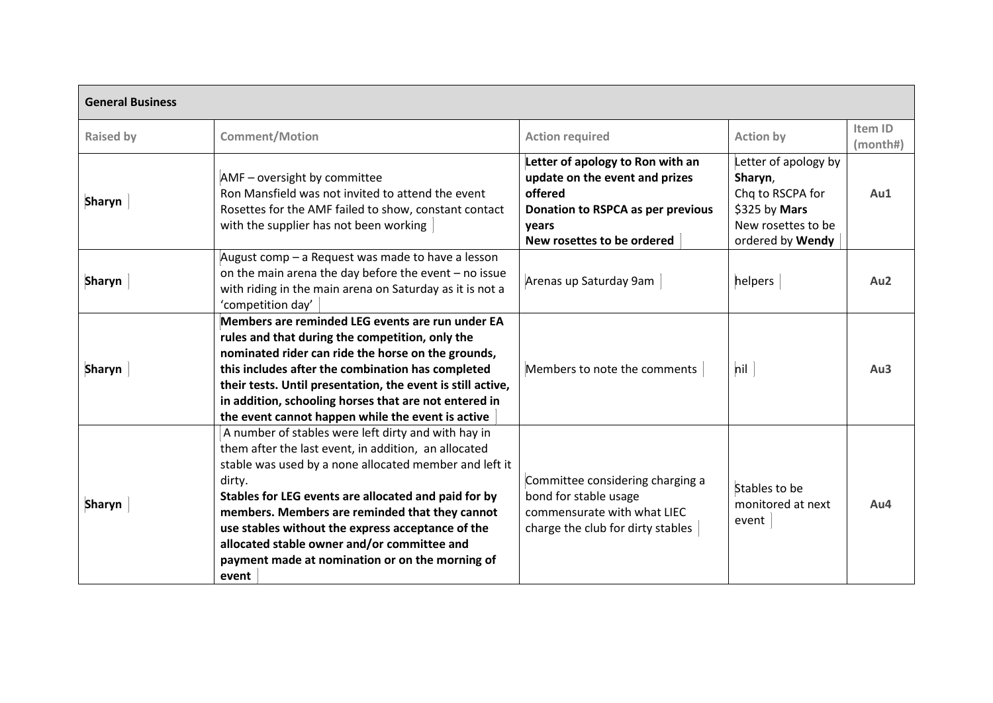| <b>General Business</b> |                                                                                                                                                                                                                                                                                                                                                                                                                                                           |                                                                                                                                                           |                                                                                                                |                     |  |  |  |  |
|-------------------------|-----------------------------------------------------------------------------------------------------------------------------------------------------------------------------------------------------------------------------------------------------------------------------------------------------------------------------------------------------------------------------------------------------------------------------------------------------------|-----------------------------------------------------------------------------------------------------------------------------------------------------------|----------------------------------------------------------------------------------------------------------------|---------------------|--|--|--|--|
| <b>Raised by</b>        | <b>Comment/Motion</b>                                                                                                                                                                                                                                                                                                                                                                                                                                     | <b>Action required</b>                                                                                                                                    | <b>Action by</b>                                                                                               | Item ID<br>(month#) |  |  |  |  |
| <b>Sharyn</b>           | AMF - oversight by committee<br>Ron Mansfield was not invited to attend the event<br>Rosettes for the AMF failed to show, constant contact<br>with the supplier has not been working                                                                                                                                                                                                                                                                      | Letter of apology to Ron with an<br>update on the event and prizes<br>offered<br>Donation to RSPCA as per previous<br>vears<br>New rosettes to be ordered | Letter of apology by<br>Sharyn,<br>Chq to RSCPA for<br>\$325 by Mars<br>New rosettes to be<br>ordered by Wendy | Au1                 |  |  |  |  |
| <b>Sharyn</b>           | August comp - a Request was made to have a lesson<br>on the main arena the day before the event $-$ no issue<br>with riding in the main arena on Saturday as it is not a<br>'competition day'                                                                                                                                                                                                                                                             | Arenas up Saturday 9am                                                                                                                                    | helpers                                                                                                        | Au <sub>2</sub>     |  |  |  |  |
| <b>Sharyn</b>           | Members are reminded LEG events are run under EA<br>rules and that during the competition, only the<br>nominated rider can ride the horse on the grounds,<br>this includes after the combination has completed<br>their tests. Until presentation, the event is still active,<br>in addition, schooling horses that are not entered in<br>the event cannot happen while the event is active                                                               | Members to note the comments                                                                                                                              | nil                                                                                                            | Au3                 |  |  |  |  |
| <b>Sharyn</b>           | A number of stables were left dirty and with hay in<br>them after the last event, in addition, an allocated<br>stable was used by a none allocated member and left it<br>dirty.<br>Stables for LEG events are allocated and paid for by<br>members. Members are reminded that they cannot<br>use stables without the express acceptance of the<br>allocated stable owner and/or committee and<br>payment made at nomination or on the morning of<br>event | Committee considering charging a<br>bond for stable usage<br>commensurate with what LIEC<br>charge the club for dirty stables                             | Stables to be<br>monitored at next<br>event                                                                    | Au4                 |  |  |  |  |